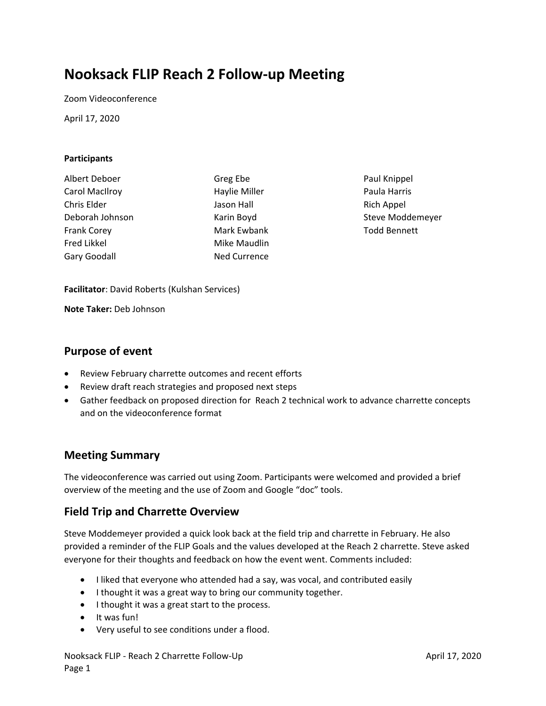# **Nooksack FLIP Reach 2 Follow‐up Meeting**

Zoom Videoconference

April 17, 2020

#### **Participants**

Albert Deboer Carol MacIlroy Chris Elder Deborah Johnson Frank Corey Fred Likkel Gary Goodall

Greg Ebe Haylie Miller Jason Hall Karin Boyd Mark Ewbank Mike Maudlin Ned Currence

Paul Knippel Paula Harris Rich Appel Steve Moddemeyer Todd Bennett

**Facilitator**: David Roberts (Kulshan Services)

**Note Taker:** Deb Johnson

### **Purpose of event**

- Review February charrette outcomes and recent efforts
- Review draft reach strategies and proposed next steps
- Gather feedback on proposed direction for Reach 2 technical work to advance charrette concepts and on the videoconference format

## **Meeting Summary**

The videoconference was carried out using Zoom. Participants were welcomed and provided a brief overview of the meeting and the use of Zoom and Google "doc" tools.

## **Field Trip and Charrette Overview**

Steve Moddemeyer provided a quick look back at the field trip and charrette in February. He also provided a reminder of the FLIP Goals and the values developed at the Reach 2 charrette. Steve asked everyone for their thoughts and feedback on how the event went. Comments included:

- I liked that everyone who attended had a say, was vocal, and contributed easily
- I thought it was a great way to bring our community together.
- I thought it was a great start to the process.
- It was fun!
- Very useful to see conditions under a flood.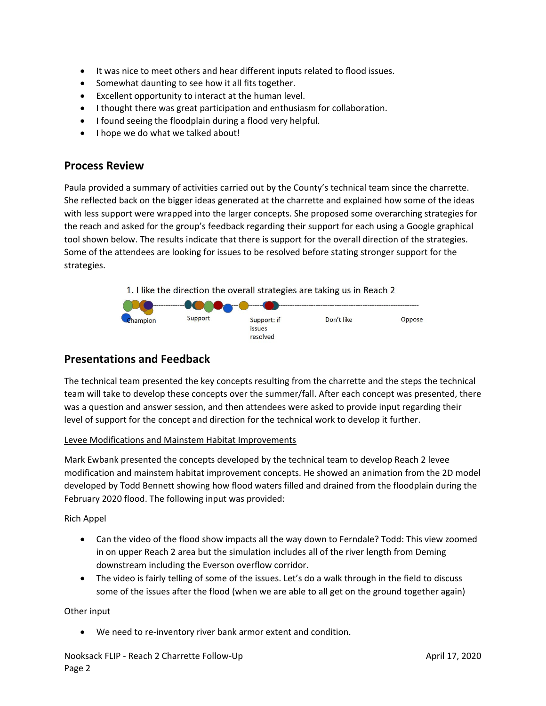- It was nice to meet others and hear different inputs related to flood issues.
- Somewhat daunting to see how it all fits together.
- Excellent opportunity to interact at the human level.
- I thought there was great participation and enthusiasm for collaboration.
- I found seeing the floodplain during a flood very helpful.
- I hope we do what we talked about!

## **Process Review**

Paula provided a summary of activities carried out by the County's technical team since the charrette. She reflected back on the bigger ideas generated at the charrette and explained how some of the ideas with less support were wrapped into the larger concepts. She proposed some overarching strategies for the reach and asked for the group's feedback regarding their support for each using a Google graphical tool shown below. The results indicate that there is support for the overall direction of the strategies. Some of the attendees are looking for issues to be resolved before stating stronger support for the strategies.

1. I like the direction the overall strategies are taking us in Reach 2



# **Presentations and Feedback**

The technical team presented the key concepts resulting from the charrette and the steps the technical team will take to develop these concepts over the summer/fall. After each concept was presented, there was a question and answer session, and then attendees were asked to provide input regarding their level of support for the concept and direction for the technical work to develop it further.

### Levee Modifications and Mainstem Habitat Improvements

Mark Ewbank presented the concepts developed by the technical team to develop Reach 2 levee modification and mainstem habitat improvement concepts. He showed an animation from the 2D model developed by Todd Bennett showing how flood waters filled and drained from the floodplain during the February 2020 flood. The following input was provided:

Rich Appel

- Can the video of the flood show impacts all the way down to Ferndale? Todd: This view zoomed in on upper Reach 2 area but the simulation includes all of the river length from Deming downstream including the Everson overflow corridor.
- The video is fairly telling of some of the issues. Let's do a walk through in the field to discuss some of the issues after the flood (when we are able to all get on the ground together again)

Other input

● We need to re-inventory river bank armor extent and condition.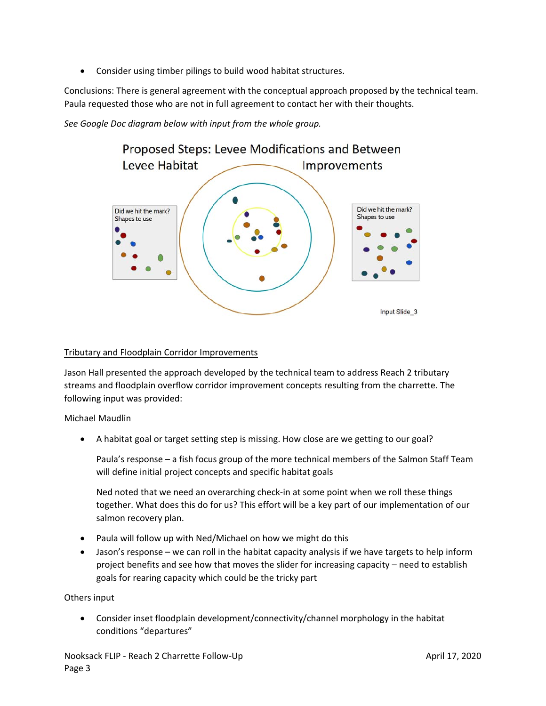Consider using timber pilings to build wood habitat structures.

Conclusions: There is general agreement with the conceptual approach proposed by the technical team. Paula requested those who are not in full agreement to contact her with their thoughts.

*See Google Doc diagram below with input from the whole group.*



#### Tributary and Floodplain Corridor Improvements

Jason Hall presented the approach developed by the technical team to address Reach 2 tributary streams and floodplain overflow corridor improvement concepts resulting from the charrette. The following input was provided:

Michael Maudlin

A habitat goal or target setting step is missing. How close are we getting to our goal?

Paula's response – a fish focus group of the more technical members of the Salmon Staff Team will define initial project concepts and specific habitat goals

Ned noted that we need an overarching check-in at some point when we roll these things together. What does this do for us? This effort will be a key part of our implementation of our salmon recovery plan.

- Paula will follow up with Ned/Michael on how we might do this
- Jason's response we can roll in the habitat capacity analysis if we have targets to help inform project benefits and see how that moves the slider for increasing capacity – need to establish goals for rearing capacity which could be the tricky part

Others input

 Consider inset floodplain development/connectivity/channel morphology in the habitat conditions "departures"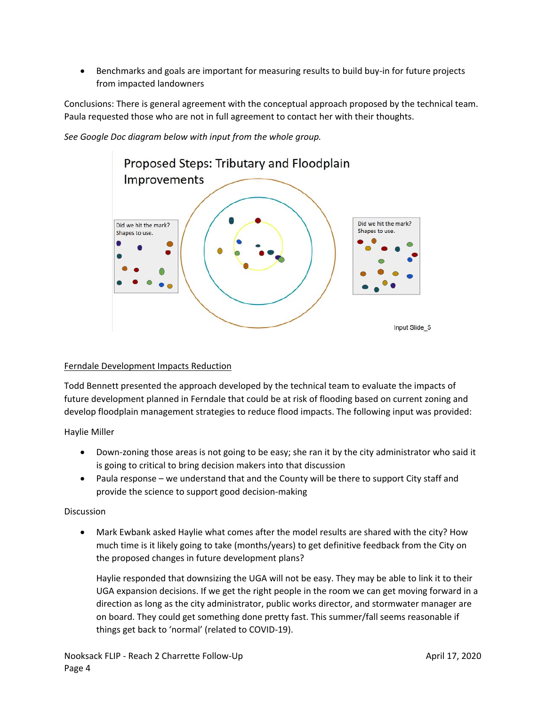Benchmarks and goals are important for measuring results to build buy‐in for future projects from impacted landowners

Conclusions: There is general agreement with the conceptual approach proposed by the technical team. Paula requested those who are not in full agreement to contact her with their thoughts.

Proposed Steps: Tributary and Floodplain Improvements Did we hit the mark? Did we hit the mark? Shapes to use. Shapes to use.

*See Google Doc diagram below with input from the whole group.*

#### Ferndale Development Impacts Reduction

Todd Bennett presented the approach developed by the technical team to evaluate the impacts of future development planned in Ferndale that could be at risk of flooding based on current zoning and develop floodplain management strategies to reduce flood impacts. The following input was provided:

Haylie Miller

- Down-zoning those areas is not going to be easy; she ran it by the city administrator who said it is going to critical to bring decision makers into that discussion
- Paula response we understand that and the County will be there to support City staff and provide the science to support good decision‐making

#### Discussion

 Mark Ewbank asked Haylie what comes after the model results are shared with the city? How much time is it likely going to take (months/years) to get definitive feedback from the City on the proposed changes in future development plans?

Haylie responded that downsizing the UGA will not be easy. They may be able to link it to their UGA expansion decisions. If we get the right people in the room we can get moving forward in a direction as long as the city administrator, public works director, and stormwater manager are on board. They could get something done pretty fast. This summer/fall seems reasonable if things get back to 'normal' (related to COVID‐19).

Input Slide 5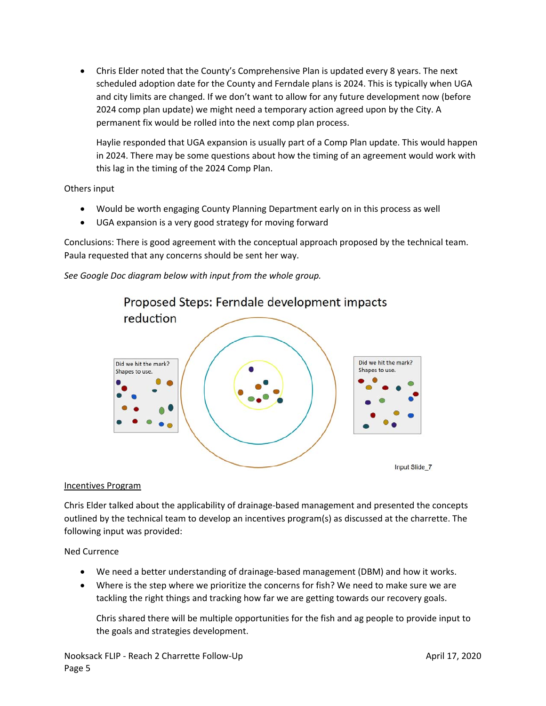Chris Elder noted that the County's Comprehensive Plan is updated every 8 years. The next scheduled adoption date for the County and Ferndale plans is 2024. This is typically when UGA and city limits are changed. If we don't want to allow for any future development now (before 2024 comp plan update) we might need a temporary action agreed upon by the City. A permanent fix would be rolled into the next comp plan process.

Haylie responded that UGA expansion is usually part of a Comp Plan update. This would happen in 2024. There may be some questions about how the timing of an agreement would work with this lag in the timing of the 2024 Comp Plan.

Others input

- Would be worth engaging County Planning Department early on in this process as well
- UGA expansion is a very good strategy for moving forward

Conclusions: There is good agreement with the conceptual approach proposed by the technical team. Paula requested that any concerns should be sent her way.

*See Google Doc diagram below with input from the whole group.*



#### Incentives Program

Chris Elder talked about the applicability of drainage‐based management and presented the concepts outlined by the technical team to develop an incentives program(s) as discussed at the charrette. The following input was provided:

#### Ned Currence

- We need a better understanding of drainage‐based management (DBM) and how it works.
- Where is the step where we prioritize the concerns for fish? We need to make sure we are tackling the right things and tracking how far we are getting towards our recovery goals.

Chris shared there will be multiple opportunities for the fish and ag people to provide input to the goals and strategies development.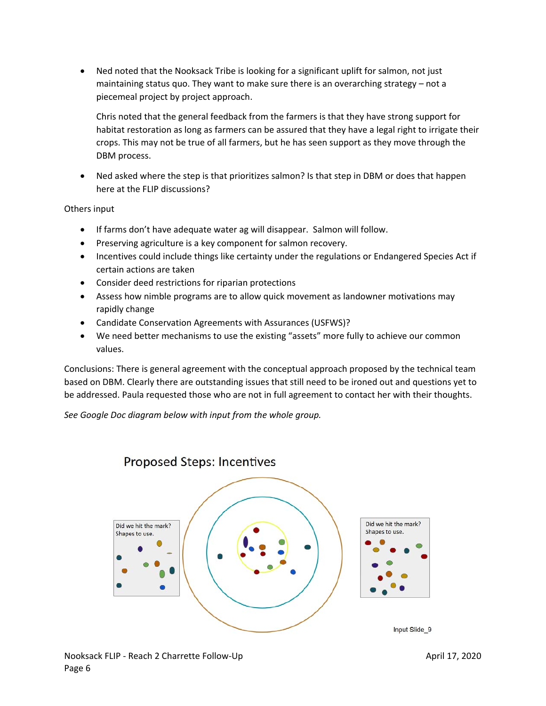Ned noted that the Nooksack Tribe is looking for a significant uplift for salmon, not just maintaining status quo. They want to make sure there is an overarching strategy – not a piecemeal project by project approach.

Chris noted that the general feedback from the farmers is that they have strong support for habitat restoration as long as farmers can be assured that they have a legal right to irrigate their crops. This may not be true of all farmers, but he has seen support as they move through the DBM process.

 Ned asked where the step is that prioritizes salmon? Is that step in DBM or does that happen here at the FLIP discussions?

Others input

- If farms don't have adequate water ag will disappear. Salmon will follow.
- Preserving agriculture is a key component for salmon recovery.
- Incentives could include things like certainty under the regulations or Endangered Species Act if certain actions are taken
- Consider deed restrictions for riparian protections
- Assess how nimble programs are to allow quick movement as landowner motivations may rapidly change
- Candidate Conservation Agreements with Assurances (USFWS)?
- We need better mechanisms to use the existing "assets" more fully to achieve our common values.

Conclusions: There is general agreement with the conceptual approach proposed by the technical team based on DBM. Clearly there are outstanding issues that still need to be ironed out and questions yet to be addressed. Paula requested those who are not in full agreement to contact her with their thoughts.

*See Google Doc diagram below with input from the whole group.*



# **Proposed Steps: Incentives**